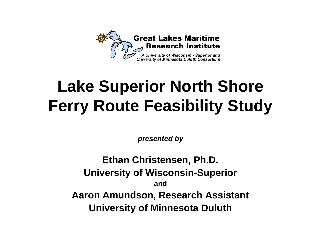

# **Lake Superior North Shore Ferry Route Feasibility Study**

*presented by*

**Ethan Christensen, Ph.D. U i it f Wi i niversity o Wisconsin-S i uper or andAaron Amundson, Research Assistant University of Minnesota Duluth**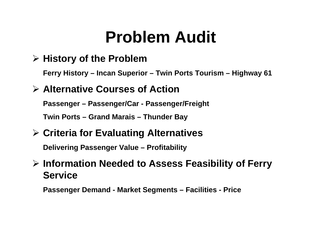## **Problem Audit**

#### ¾ **History of the Problem**

**Ferr y y Histor y – Incan Su perior – Twin Ports Tourism – Hi g y hwa y 61**

#### ¾ **Alternative Courses of Action**

**Passenger – Passenger/Car - Passenger/Freight**

**Twin Ports – Grand Marais – Thunder Bay**

#### ¾ **Criteria for Evaluating Alternatives**

**Delivering Passenger Value – Profitability**

#### ¾ **Information Needed to Assess Feasibility of Ferry Service**

**Passenger Demand - Market Segments – Facilities - Price**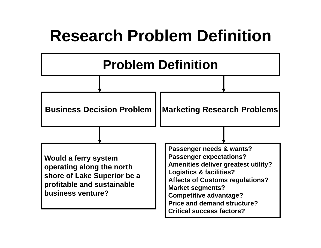#### **Research Problem Definition**

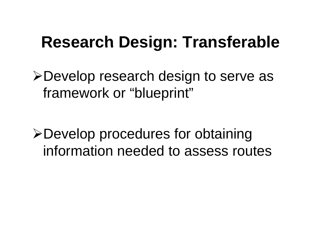## **Research Design: Transferable**

¾Develop research design to serve as framework or "blueprint"

>Develop procedures for obtaining information needed to assess routes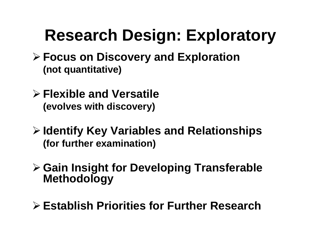## **Research Design: Exploratory**

- ¾ **Focus on Discovery and Exploration (not quantitative)**
- ¾ **Flexible and Versatile (evolves with discovery)**
- ¾ **Identify Key Variables and Relationships (for further examination)**
- ¾ **Gain Insight for Developing Transferable Methodology**
- > Establish Priorities for Further Research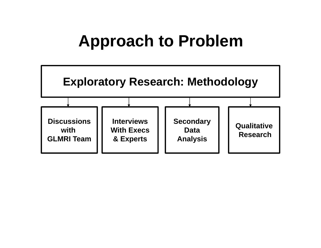#### **Approach to Problem Problem**

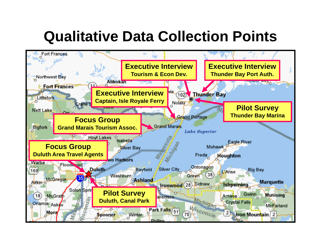#### **Qualitative Data Collection Points**

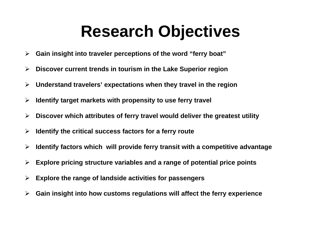## **Research Objectives**

- $\blacktriangleright$ **Gain insight into traveler perceptions of the word "ferry boat"**
- $\blacktriangleright$ **Discover current trends in tourism in the Lake Superior region**
- $\blacktriangleright$ **Understand travelers' expectations when they travel in the region**
- ¾**Identify target markets with propensity to use ferry travel**
- $\blacktriangleright$ **Discover which attributes of ferry travel would deliver the greatest utility**
- $\blacktriangleright$ **Identify the critical success factors for a ferry route**
- $\blacktriangleright$ **Identify factors which will provide ferry transit with a competitive advantage**
- $\blacktriangleright$ **Explore pricing structure variables and a range of potential price points**
- $\blacktriangleright$ **Explore the range of landside activities for passengers**
- ¾**Gain insight into how customs regulations will affect the ferry experience**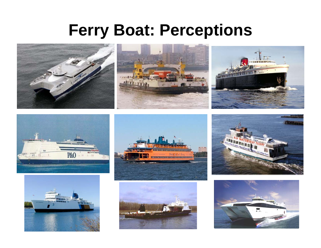#### **Ferry Boat: Perceptions**













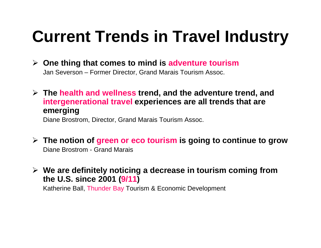## **Current Trends in Travel Industry**

- ¾ **One thing that comes to mind is adventure tourism** Jan Severson – Former Director, Grand Marais Tourism Assoc.
- ¾ **The health and wellness trend, and the adventure trend, and intergenerational travel experiences are all trends that are emerging**

Diane Brostrom, Director, Grand Marais Tourism Assoc.

- $\triangleright$  The notion of green or eco tourism is going to continue to grow Diane Brostrom - Grand Marais
- $\triangleright$  We are definitely noticing a decrease in tourism coming from **the U.S. since 2001 (9/11 )**

Katherine Ball, Thunder Bay Tourism & Economic Development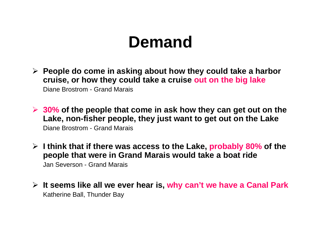#### **Demand**

- ¾ **People do come in asking about how they could take a harbor crui h h ld k i ise, or how they could take a cruise out on th bi l k he big lake** Diane Brostrom - Grand Marais
- $\triangleright$  30% of the people that come in ask how they can get out on the **Lake, non-fisher people, they just want to get out on the Lake** Diane Brostrom - Grand Marais
- ¾ **I think that if there was access to the Lake, probably 80% of the people that were in Grand Marais would take a boat ride** Jan Severson - Grand Marais
- ¾ **It seems like all we ever hear is, why can't we have a Canal Park** Katherine Ball, Thunder Bay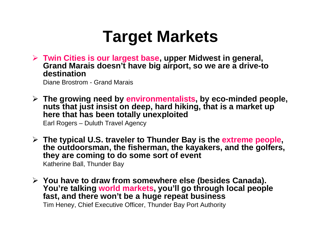## **Target Markets**

¾ **Twin Cities is our largest base, upper Midwest in general, Grand Marais doesn't have big airport, so we are a drive-to destination**

Diane Brostrom - Grand Marais

¾ **The growing need by environmentalists, by eco-minded people,**  nuts that just insist on deep, hard hiking, that is a market up **here that has been totally unexploited**

Earl Rogers – Duluth Travel Agency

**≻ The typical U.S. traveler to Thunder Bay is the extreme people, the outdoorsman, the fisherman, the kayakers, and the golfers, they are coming to do some sort of event**

Katherine Ball, Thunder Bay

¾ **You have to draw from somewhere else (besides Canada). You're talking world markets, you'll go through local people fast, and there won't be a huge repeat business**

Tim Heney, Chief Executive Officer, Thunder Bay Port Authority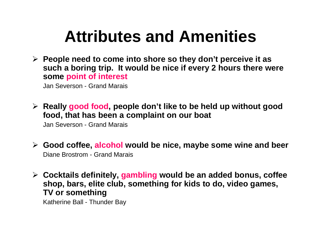## **Attributes and Amenities**

¾ **People need to come into shore so they don't perceive it as such a boring trip. It would be nice if every 2 hours there were some point of interest**

Jan Severson - Grand Marais

≻ Really good food, people don't like to be held up without good **food, that has been a complaint on our boat**

Jan Severson - Grand Marais

- ¾ **Good coffee, alcohol would be nice, maybe some wine and beer** Diane Brostrom - Grand Marais
- ¾ **Cocktails definitely, gambling would be an added bonus, coffee shop, bars, elite club, something for kids to do, video games, TV or something**

Katherine Ball - Thunder Bay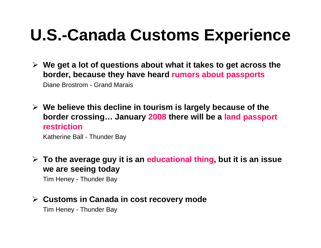## **U.S.-Canada Customs Experience**

- ¾ **We get a lot of questions about what it takes to get across the border, because they have heard rumors about passports** Diane Brostrom - Grand Marais
- $\triangleright$  We believe this decline in tourism is largely because of the **border crossing… January 2008 there will be a land passport restriction**

Katherine Ball - Thunder Ba y

¾ **To the average guy it is an educational thing, but it is an issue we are seeing today**

Tim Heney - Thunder Bay

#### ¾ **Customs in Canada in cost recovery mode**

Tim Heney - Thunder Bay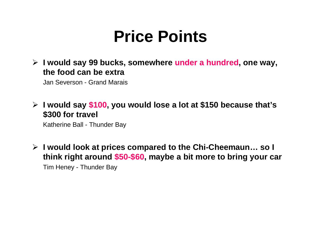#### **Price Points**

¾ **I would say 99 bucks, somewhere under a hundred, one way, the food can be extra**

Jan Severson - Grand Marais

#### ¾ **I would say \$100,y \$ ou would lose a lot at \$150 because that's \$300 for travel**

Katherine Ball - Thunder Bay

¾ **I would look at prices compared to the Chi-Cheemaun… so I think right around \$50-\$60, maybe a bit more to bring your car** Tim Heney - Thunder Bay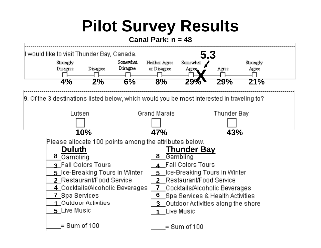# **Pilot Survey Results**

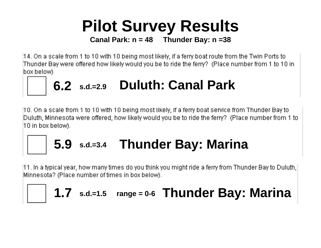# **Pilot Survey Results**

**Canal Park: n = 48 Thunder Bay: n =38**

[14. On a scale from 1 to 10 with 10 being most likely, if a ferry boat route from the Twin Ports to Thunder Bay were offered how likely would you be to ride the ferry? (Place number from 1 to 10 in box below).



 $\left|10\right\rangle$  On a scale from 1 to 10 with 10 being most likely, if a ferry boat service from Thunder Bay to Duluth, Minnesota were offered, how likely would you be to ride the ferry? (Place number from 1 to  $|10$  in box below).

### **5. 9 s.d.=3.4 Th d B M i Thun der Bay: Marina**

[11. In a typical year, how many times do you think you might ride a ferry from Thunder Bay to Duluth, Minnesota? (Place number of times in box below).

#### **1.7 s.d.=1.5 range = 0-6 Thunder Bay: Marina**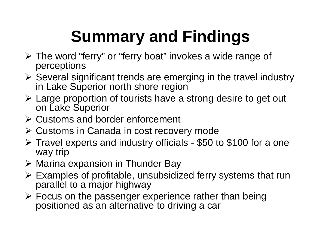# **Summary and Findings**

- ¾ The word "ferry" or "ferry boat" invokes a wide range of perceptions
- $\triangleright$  Several significant trends are emerging in the travel industry in Lake Superior north shore region
- ¾ Large proportion of tourists have a strong desire to get out on Lake Superior
- ¾ Customs and border enforcement
- ¾ Customs in Canada in cost recovery mode
- ▶ Travel experts and industry officials \$50 to \$100 for a one way trip
- ¾ Marina expansion in Thunder Bay
- $\triangleright$  Examples of profitable, unsubsidized ferry systems that run parallel to a major highway
- ¾ Focus on the passenger experience rather than being positioned as an alternative to driving a ca r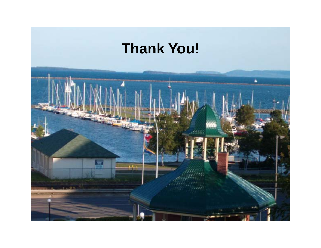